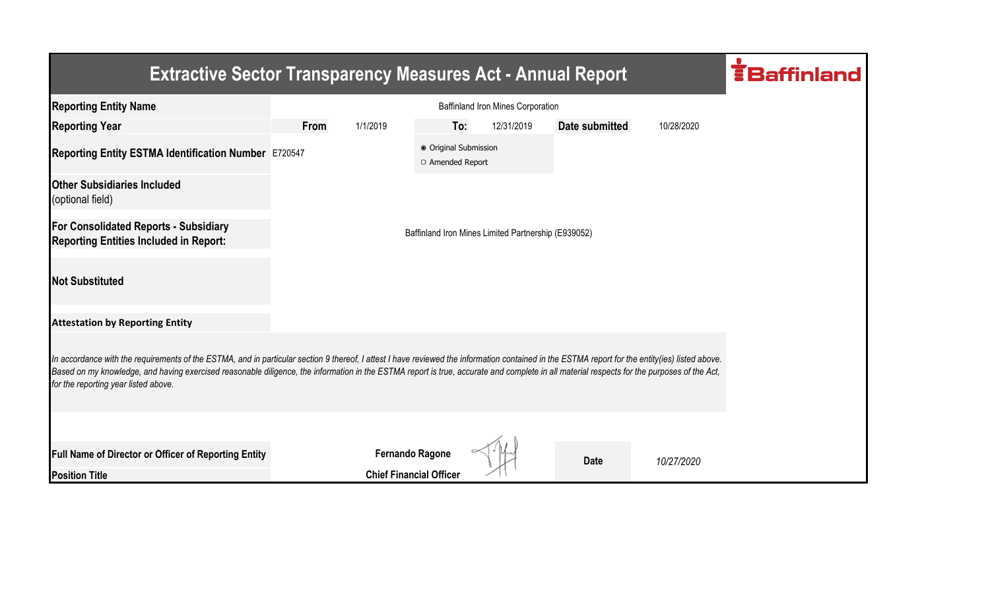| <b>Extractive Sector Transparency Measures Act - Annual Report</b>                                                                                                                                                                                                                                                                                                                                                                    |                                   |                                |                                           |                                                     |                |            |  |  |  |
|---------------------------------------------------------------------------------------------------------------------------------------------------------------------------------------------------------------------------------------------------------------------------------------------------------------------------------------------------------------------------------------------------------------------------------------|-----------------------------------|--------------------------------|-------------------------------------------|-----------------------------------------------------|----------------|------------|--|--|--|
| <b>Reporting Entity Name</b>                                                                                                                                                                                                                                                                                                                                                                                                          | Baffinland Iron Mines Corporation |                                |                                           |                                                     |                |            |  |  |  |
| <b>Reporting Year</b>                                                                                                                                                                                                                                                                                                                                                                                                                 | <b>From</b>                       | 1/1/2019                       | To:                                       | 12/31/2019                                          | Date submitted | 10/28/2020 |  |  |  |
| Reporting Entity ESTMA Identification Number E720547                                                                                                                                                                                                                                                                                                                                                                                  |                                   |                                | ● Original Submission<br>O Amended Report |                                                     |                |            |  |  |  |
| <b>Other Subsidiaries Included</b><br>(optional field)                                                                                                                                                                                                                                                                                                                                                                                |                                   |                                |                                           |                                                     |                |            |  |  |  |
| For Consolidated Reports - Subsidiary<br><b>Reporting Entities Included in Report:</b>                                                                                                                                                                                                                                                                                                                                                |                                   |                                |                                           | Baffinland Iron Mines Limited Partnership (E939052) |                |            |  |  |  |
| <b>Not Substituted</b>                                                                                                                                                                                                                                                                                                                                                                                                                |                                   |                                |                                           |                                                     |                |            |  |  |  |
| <b>Attestation by Reporting Entity</b>                                                                                                                                                                                                                                                                                                                                                                                                |                                   |                                |                                           |                                                     |                |            |  |  |  |
| In accordance with the requirements of the ESTMA, and in particular section 9 thereof, I attest I have reviewed the information contained in the ESTMA report for the entity(ies) listed above.<br>Based on my knowledge, and having exercised reasonable diligence, the information in the ESTMA report is true, accurate and complete in all material respects for the purposes of the Act,<br>for the reporting year listed above. |                                   |                                |                                           |                                                     |                |            |  |  |  |
|                                                                                                                                                                                                                                                                                                                                                                                                                                       |                                   |                                |                                           |                                                     |                |            |  |  |  |
| <b>Full Name of Director or Officer of Reporting Entity</b>                                                                                                                                                                                                                                                                                                                                                                           |                                   | <b>Fernando Ragone</b>         |                                           |                                                     | <b>Date</b>    | 10/27/2020 |  |  |  |
| <b>Position Title</b>                                                                                                                                                                                                                                                                                                                                                                                                                 |                                   | <b>Chief Financial Officer</b> |                                           |                                                     |                |            |  |  |  |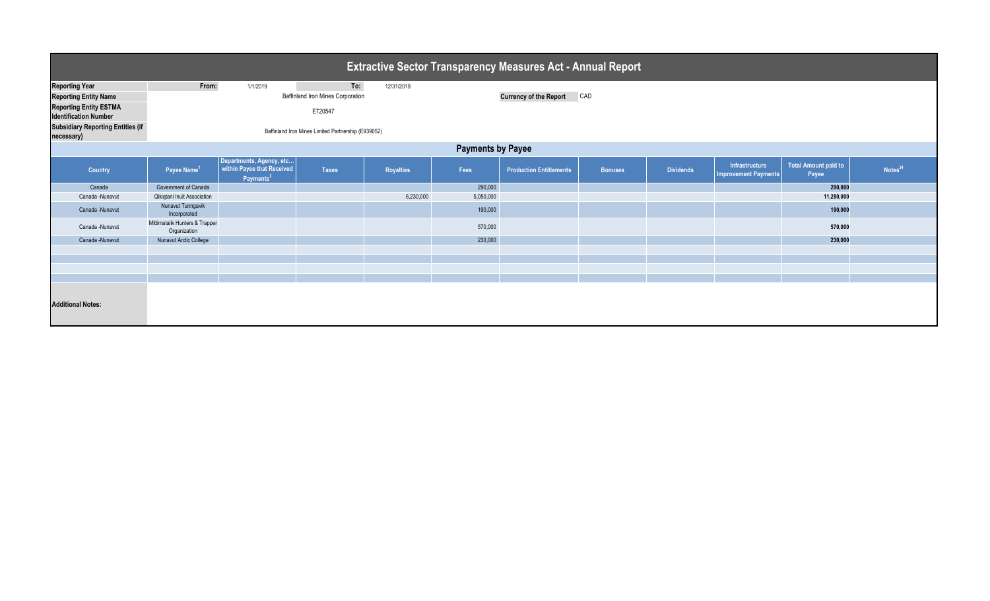| <b>Extractive Sector Transparency Measures Act - Annual Report</b>                     |                                                                |                                                                                 |              |            |                                      |                                |                |                  |                                        |                               |                     |  |
|----------------------------------------------------------------------------------------|----------------------------------------------------------------|---------------------------------------------------------------------------------|--------------|------------|--------------------------------------|--------------------------------|----------------|------------------|----------------------------------------|-------------------------------|---------------------|--|
| <b>Reporting Year</b><br><b>Reporting Entity Name</b><br><b>Reporting Entity ESTMA</b> | From:<br>To:<br>1/1/2019<br>Baffinland Iron Mines Corporation  |                                                                                 |              | 12/31/2019 | <b>Currency of the Report</b><br>CAD |                                |                |                  |                                        |                               |                     |  |
| <b>Identification Number</b><br><b>Subsidiary Reporting Entities (if</b>               | E720547<br>Baffinland Iron Mines Limited Partnership (E939052) |                                                                                 |              |            |                                      |                                |                |                  |                                        |                               |                     |  |
| necessary)<br><b>Payments by Payee</b>                                                 |                                                                |                                                                                 |              |            |                                      |                                |                |                  |                                        |                               |                     |  |
| Country                                                                                | Payee Name <sup>1</sup>                                        | Departments, Agency, etc<br>within Payee that Received<br>Payments <sup>2</sup> | <b>Taxes</b> | Royalties  | Fees                                 | <b>Production Entitlements</b> | <b>Bonuses</b> | <b>Dividends</b> | Infrastructure<br>Improvement Payments | Total Amount paid to<br>Payee | Notes <sup>34</sup> |  |
| Canada                                                                                 | Government of Canada                                           |                                                                                 |              |            | 290,000                              |                                |                |                  |                                        | 290,000                       |                     |  |
| Canada -Nunavut                                                                        | Qikiqtani Inuit Association                                    |                                                                                 |              | 6,230,000  | 5,050,000                            |                                |                |                  |                                        | 11,280,000                    |                     |  |
| Canada -Nunavut                                                                        | Nunavut Tunngavik<br>Incorporated                              |                                                                                 |              |            | 190,000                              |                                |                |                  |                                        | 190,000                       |                     |  |
| Canada -Nunavut                                                                        | Mittimatalik Hunters & Trapper<br>Organization                 |                                                                                 |              |            | 570,000                              |                                |                |                  |                                        | 570,000                       |                     |  |
| Canada -Nunavut                                                                        | Nunavut Arctic College                                         |                                                                                 |              |            | 230,000                              |                                |                |                  |                                        | 230,000                       |                     |  |
|                                                                                        |                                                                |                                                                                 |              |            |                                      |                                |                |                  |                                        |                               |                     |  |
|                                                                                        |                                                                |                                                                                 |              |            |                                      |                                |                |                  |                                        |                               |                     |  |
|                                                                                        |                                                                |                                                                                 |              |            |                                      |                                |                |                  |                                        |                               |                     |  |
| <b>Additional Notes:</b>                                                               |                                                                |                                                                                 |              |            |                                      |                                |                |                  |                                        |                               |                     |  |